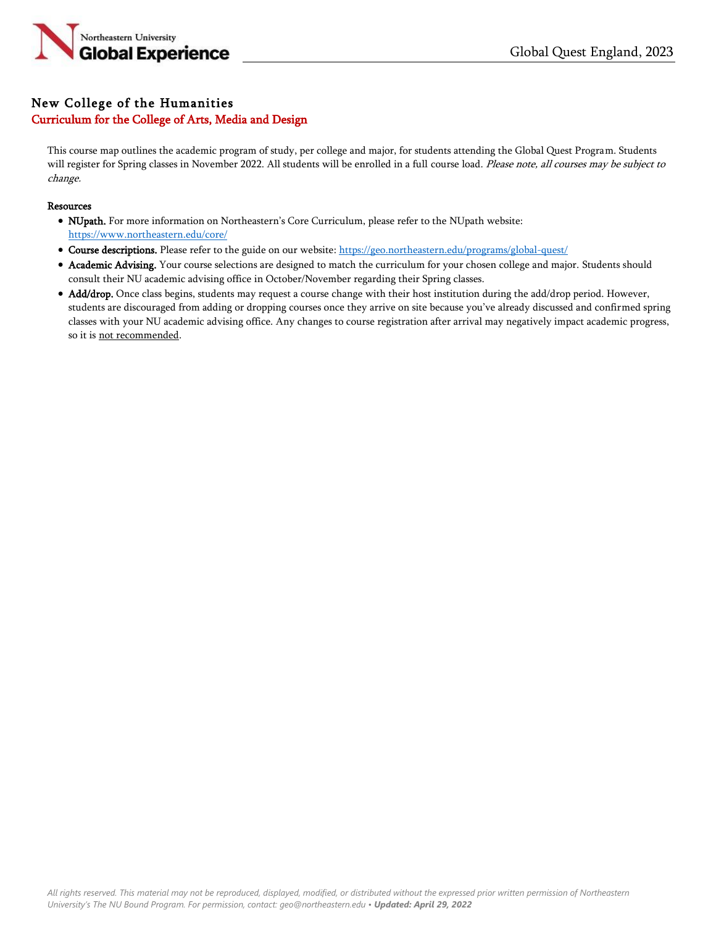

# New College of the Humanities Curriculum for the College of Arts, Media and Design

This course map outlines the academic program of study, per college and major, for students attending the Global Quest Program. Students will register for Spring classes in November 2022. All students will be enrolled in a full course load. Please note, all courses may be subject to change.

#### **Resources**

- NUpath. For more information on Northeastern's Core Curriculum, please refer to the NUpath website: <https://www.northeastern.edu/core/>
- Course descriptions. Please refer to the guide on our website: <https://geo.northeastern.edu/programs/global-quest/>
- Academic Advising. Your course selections are designed to match the curriculum for your chosen college and major. Students should consult their NU academic advising office in October/November regarding their Spring classes.
- Add/drop. Once class begins, students may request a course change with their host institution during the add/drop period. However, students are discouraged from adding or dropping courses once they arrive on site because you've already discussed and confirmed spring classes with your NU academic advising office. Any changes to course registration after arrival may negatively impact academic progress, so it is not recommended.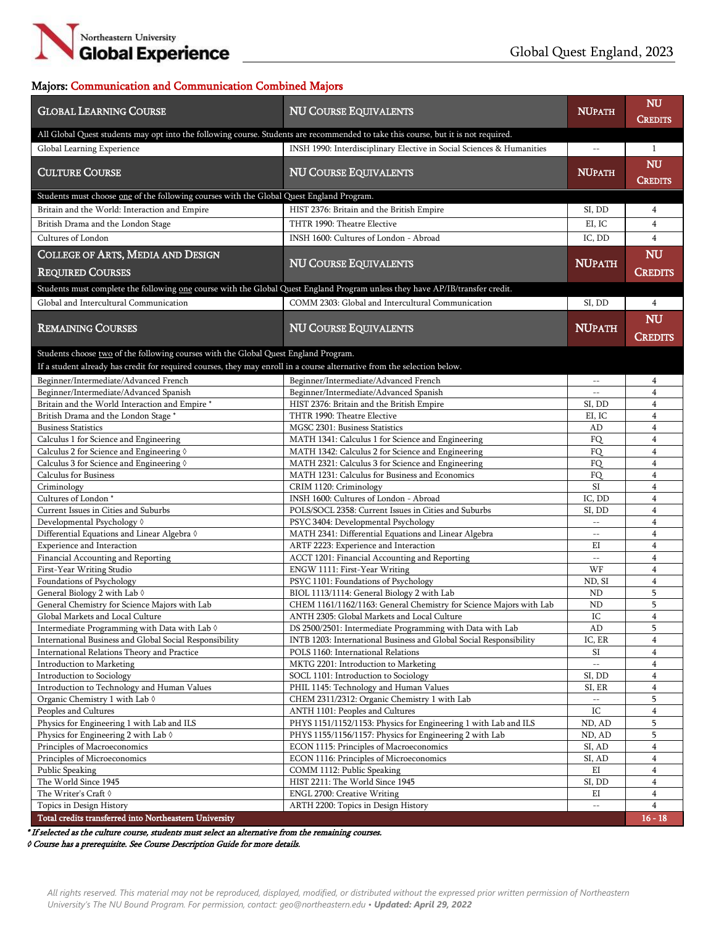

### Majors: Communication and Communication Combined Majors

| <b>CREDITS</b><br>All Global Quest students may opt into the following course. Students are recommended to take this course, but it is not required.<br>Global Learning Experience<br>INSH 1990: Interdisciplinary Elective in Social Sciences & Humanities<br>$\mathbf{1}$<br>$- -$<br>NU<br><b>CULTURE COURSE</b><br><b>NU COURSE EQUIVALENTS</b><br><b>NUPATH</b><br><b>CREDITS</b><br>Students must choose one of the following courses with the Global Quest England Program.<br>Britain and the World: Interaction and Empire<br>HIST 2376: Britain and the British Empire<br>SI, DD<br>4<br>$\overline{4}$<br>British Drama and the London Stage<br>THTR 1990: Theatre Elective<br>EI, IC<br>Cultures of London<br>INSH 1600: Cultures of London - Abroad<br>$\overline{4}$<br>IC, DD<br><b>COLLEGE OF ARTS, MEDIA AND DESIGN</b><br>NU<br><b>NU COURSE EQUIVALENTS</b><br><b>NUPATH</b><br><b>REQUIRED COURSES</b><br><b>CREDITS</b><br>Students must complete the following one course with the Global Quest England Program unless they have AP/IB/transfer credit.<br>Global and Intercultural Communication<br>COMM 2303: Global and Intercultural Communication<br>SI, DD<br>$\overline{4}$<br>NU<br><b>REMAINING COURSES</b><br><b>NU COURSE EQUIVALENTS</b><br><b>NUPATH</b><br><b>CREDITS</b><br>Students choose two of the following courses with the Global Quest England Program.<br>If a student already has credit for required courses, they may enroll in a course alternative from the selection below.<br>Beginner/Intermediate/Advanced French<br>Beginner/Intermediate/Advanced French<br>4<br>$- -$<br>Beginner/Intermediate/Advanced Spanish<br>Beginner/Intermediate/Advanced Spanish<br>$\overline{4}$<br>$\sim$ $-$<br>$\overline{4}$<br>Britain and the World Interaction and Empire *<br>HIST 2376: Britain and the British Empire<br>SI, DD<br>THTR 1990: Theatre Elective<br>British Drama and the London Stage *<br>EI, IC<br>4<br>MGSC 2301: Business Statistics<br>$\overline{4}$<br><b>Business Statistics</b><br>AD<br>FQ<br>Calculus 1 for Science and Engineering<br>MATH 1341: Calculus 1 for Science and Engineering<br>4<br><b>FO</b><br>$\overline{4}$<br>Calculus 2 for Science and Engineering 0<br>MATH 1342: Calculus 2 for Science and Engineering<br>MATH 2321: Calculus 3 for Science and Engineering<br>$\overline{4}$<br>Calculus 3 for Science and Engineering 0<br>FQ<br>MATH 1231: Calculus for Business and Economics<br>FQ<br>$\overline{4}$<br><b>Calculus for Business</b><br>SI<br>Criminology<br>CRIM 1120: Criminology<br>$\overline{4}$<br>Cultures of London*<br>INSH 1600: Cultures of London - Abroad<br>IC, DD<br>$\overline{4}$<br>POLS/SOCL 2358: Current Issues in Cities and Suburbs<br>Current Issues in Cities and Suburbs<br>$\overline{4}$<br>SI, DD<br>PSYC 3404: Developmental Psychology<br>$\overline{\mathbf{4}}$<br>Developmental Psychology 0<br>$\mathcal{L} = \mathcal{L}$<br>Differential Equations and Linear Algebra 0<br>MATH 2341: Differential Equations and Linear Algebra<br>4<br>$\sim$ $\sim$<br>Experience and Interaction<br>ARTF 2223: Experience and Interaction<br>EI<br>$\overline{4}$<br>Financial Accounting and Reporting<br>$\overline{\mathbf{4}}$<br>ACCT 1201: Financial Accounting and Reporting<br>$\mathbb{L}^{\mathbb{L}}$<br>First-Year Writing Studio<br>ENGW 1111: First-Year Writing<br>WF<br>4<br>Foundations of Psychology<br>$\overline{4}$<br>PSYC 1101: Foundations of Psychology<br>ND, SI<br>5<br>General Biology 2 with Lab $\Diamond$<br>BIOL 1113/1114: General Biology 2 with Lab<br><b>ND</b><br>5<br>General Chemistry for Science Majors with Lab<br>CHEM 1161/1162/1163: General Chemistry for Science Majors with Lab<br><b>ND</b><br>IC<br>$\overline{4}$<br>Global Markets and Local Culture<br>ANTH 2305: Global Markets and Local Culture<br>Intermediate Programming with Data with Lab 0<br>DS 2500/2501: Intermediate Programming with Data with Lab<br>AD<br>5<br>International Business and Global Social Responsibility<br>INTB 1203: International Business and Global Social Responsibility<br>IC, ER<br>$\overline{4}$<br>International Relations Theory and Practice<br>SI<br>POLS 1160: International Relations<br>$\overline{4}$<br>Introduction to Marketing<br>MKTG 2201: Introduction to Marketing<br>$\overline{4}$<br>SI, DD<br>Introduction to Sociology<br>SOCL 1101: Introduction to Sociology<br>$\overline{4}$<br>Introduction to Technology and Human Values<br>PHIL 1145: Technology and Human Values<br>SI, ER<br>$\overline{4}$<br>5<br>Organic Chemistry 1 with Lab $\Diamond$<br>CHEM 2311/2312: Organic Chemistry 1 with Lab<br>$\rm{IC}$<br>ANTH 1101: Peoples and Cultures<br>Peoples and Cultures<br>$\overline{4}$<br>Physics for Engineering 1 with Lab and ILS<br>PHYS 1151/1152/1153: Physics for Engineering 1 with Lab and ILS<br>5<br>ND, AD<br>5<br>Physics for Engineering 2 with Lab $\Diamond$<br>PHYS 1155/1156/1157: Physics for Engineering 2 with Lab<br>ND, AD<br>$\overline{4}$<br>Principles of Macroeconomics<br>ECON 1115: Principles of Macroeconomics<br>SI, AD<br>Principles of Microeconomics<br>ECON 1116: Principles of Microeconomics<br>SI, AD<br>$\overline{4}$<br>EI<br>Public Speaking<br>COMM 1112: Public Speaking<br>$\overline{4}$<br>The World Since 1945<br>HIST 2211: The World Since 1945<br>$\overline{4}$<br>SI, DD<br>The Writer's Craft 0<br>ENGL 2700: Creative Writing<br>ΕI<br>4<br>$\overline{4}$<br>Topics in Design History<br>ARTH 2200: Topics in Design History<br>$16 - 18$<br>Total credits transferred into Northeastern University | <b>GLOBAL LEARNING COURSE</b> | <b>NU COURSE EQUIVALENTS</b> | <b>NUPATH</b> | <b>NU</b> |
|-----------------------------------------------------------------------------------------------------------------------------------------------------------------------------------------------------------------------------------------------------------------------------------------------------------------------------------------------------------------------------------------------------------------------------------------------------------------------------------------------------------------------------------------------------------------------------------------------------------------------------------------------------------------------------------------------------------------------------------------------------------------------------------------------------------------------------------------------------------------------------------------------------------------------------------------------------------------------------------------------------------------------------------------------------------------------------------------------------------------------------------------------------------------------------------------------------------------------------------------------------------------------------------------------------------------------------------------------------------------------------------------------------------------------------------------------------------------------------------------------------------------------------------------------------------------------------------------------------------------------------------------------------------------------------------------------------------------------------------------------------------------------------------------------------------------------------------------------------------------------------------------------------------------------------------------------------------------------------------------------------------------------------------------------------------------------------------------------------------------------------------------------------------------------------------------------------------------------------------------------------------------------------------------------------------------------------------------------------------------------------------------------------------------------------------------------------------------------------------------------------------------------------------------------------------------------------------------------------------------------------------------------------------------------------------------------------------------------------------------------------------------------------------------------------------------------------------------------------------------------------------------------------------------------------------------------------------------------------------------------------------------------------------------------------------------------------------------------------------------------------------------------------------------------------------------------------------------------------------------------------------------------------------------------------------------------------------------------------------------------------------------------------------------------------------------------------------------------------------------------------------------------------------------------------------------------------------------------------------------------------------------------------------------------------------------------------------------------------------------------------------------------------------------------------------------------------------------------------------------------------------------------------------------------------------------------------------------------------------------------------------------------------------------------------------------------------------------------------------------------------------------------------------------------------------------------------------------------------------------------------------------------------------------------------------------------------------------------------------------------------------------------------------------------------------------------------------------------------------------------------------------------------------------------------------------------------------------------------------------------------------------------------------------------------------------------------------------------------------------------------------------------------------------------------------------------------------------------------------------------------------------------------------------------------------------------------------------------------------------------------------------------------------------------------------------------------------------------------------------------------------------------------------------------------------------------------------------------------------------------------------------------------------------------------------------------------------------------------------------------------------------------------------------------------------------------------------------------------------------------------------------------------------------------------------------------------------------------------------------------------------------------------------------------|-------------------------------|------------------------------|---------------|-----------|
|                                                                                                                                                                                                                                                                                                                                                                                                                                                                                                                                                                                                                                                                                                                                                                                                                                                                                                                                                                                                                                                                                                                                                                                                                                                                                                                                                                                                                                                                                                                                                                                                                                                                                                                                                                                                                                                                                                                                                                                                                                                                                                                                                                                                                                                                                                                                                                                                                                                                                                                                                                                                                                                                                                                                                                                                                                                                                                                                                                                                                                                                                                                                                                                                                                                                                                                                                                                                                                                                                                                                                                                                                                                                                                                                                                                                                                                                                                                                                                                                                                                                                                                                                                                                                                                                                                                                                                                                                                                                                                                                                                                                                                                                                                                                                                                                                                                                                                                                                                                                                                                                                                                                                                                                                                                                                                                                                                                                                                                                                                                                                                                                                                                                       |                               |                              |               |           |
|                                                                                                                                                                                                                                                                                                                                                                                                                                                                                                                                                                                                                                                                                                                                                                                                                                                                                                                                                                                                                                                                                                                                                                                                                                                                                                                                                                                                                                                                                                                                                                                                                                                                                                                                                                                                                                                                                                                                                                                                                                                                                                                                                                                                                                                                                                                                                                                                                                                                                                                                                                                                                                                                                                                                                                                                                                                                                                                                                                                                                                                                                                                                                                                                                                                                                                                                                                                                                                                                                                                                                                                                                                                                                                                                                                                                                                                                                                                                                                                                                                                                                                                                                                                                                                                                                                                                                                                                                                                                                                                                                                                                                                                                                                                                                                                                                                                                                                                                                                                                                                                                                                                                                                                                                                                                                                                                                                                                                                                                                                                                                                                                                                                                       |                               |                              |               |           |
|                                                                                                                                                                                                                                                                                                                                                                                                                                                                                                                                                                                                                                                                                                                                                                                                                                                                                                                                                                                                                                                                                                                                                                                                                                                                                                                                                                                                                                                                                                                                                                                                                                                                                                                                                                                                                                                                                                                                                                                                                                                                                                                                                                                                                                                                                                                                                                                                                                                                                                                                                                                                                                                                                                                                                                                                                                                                                                                                                                                                                                                                                                                                                                                                                                                                                                                                                                                                                                                                                                                                                                                                                                                                                                                                                                                                                                                                                                                                                                                                                                                                                                                                                                                                                                                                                                                                                                                                                                                                                                                                                                                                                                                                                                                                                                                                                                                                                                                                                                                                                                                                                                                                                                                                                                                                                                                                                                                                                                                                                                                                                                                                                                                                       |                               |                              |               |           |
|                                                                                                                                                                                                                                                                                                                                                                                                                                                                                                                                                                                                                                                                                                                                                                                                                                                                                                                                                                                                                                                                                                                                                                                                                                                                                                                                                                                                                                                                                                                                                                                                                                                                                                                                                                                                                                                                                                                                                                                                                                                                                                                                                                                                                                                                                                                                                                                                                                                                                                                                                                                                                                                                                                                                                                                                                                                                                                                                                                                                                                                                                                                                                                                                                                                                                                                                                                                                                                                                                                                                                                                                                                                                                                                                                                                                                                                                                                                                                                                                                                                                                                                                                                                                                                                                                                                                                                                                                                                                                                                                                                                                                                                                                                                                                                                                                                                                                                                                                                                                                                                                                                                                                                                                                                                                                                                                                                                                                                                                                                                                                                                                                                                                       |                               |                              |               |           |
|                                                                                                                                                                                                                                                                                                                                                                                                                                                                                                                                                                                                                                                                                                                                                                                                                                                                                                                                                                                                                                                                                                                                                                                                                                                                                                                                                                                                                                                                                                                                                                                                                                                                                                                                                                                                                                                                                                                                                                                                                                                                                                                                                                                                                                                                                                                                                                                                                                                                                                                                                                                                                                                                                                                                                                                                                                                                                                                                                                                                                                                                                                                                                                                                                                                                                                                                                                                                                                                                                                                                                                                                                                                                                                                                                                                                                                                                                                                                                                                                                                                                                                                                                                                                                                                                                                                                                                                                                                                                                                                                                                                                                                                                                                                                                                                                                                                                                                                                                                                                                                                                                                                                                                                                                                                                                                                                                                                                                                                                                                                                                                                                                                                                       |                               |                              |               |           |
|                                                                                                                                                                                                                                                                                                                                                                                                                                                                                                                                                                                                                                                                                                                                                                                                                                                                                                                                                                                                                                                                                                                                                                                                                                                                                                                                                                                                                                                                                                                                                                                                                                                                                                                                                                                                                                                                                                                                                                                                                                                                                                                                                                                                                                                                                                                                                                                                                                                                                                                                                                                                                                                                                                                                                                                                                                                                                                                                                                                                                                                                                                                                                                                                                                                                                                                                                                                                                                                                                                                                                                                                                                                                                                                                                                                                                                                                                                                                                                                                                                                                                                                                                                                                                                                                                                                                                                                                                                                                                                                                                                                                                                                                                                                                                                                                                                                                                                                                                                                                                                                                                                                                                                                                                                                                                                                                                                                                                                                                                                                                                                                                                                                                       |                               |                              |               |           |
|                                                                                                                                                                                                                                                                                                                                                                                                                                                                                                                                                                                                                                                                                                                                                                                                                                                                                                                                                                                                                                                                                                                                                                                                                                                                                                                                                                                                                                                                                                                                                                                                                                                                                                                                                                                                                                                                                                                                                                                                                                                                                                                                                                                                                                                                                                                                                                                                                                                                                                                                                                                                                                                                                                                                                                                                                                                                                                                                                                                                                                                                                                                                                                                                                                                                                                                                                                                                                                                                                                                                                                                                                                                                                                                                                                                                                                                                                                                                                                                                                                                                                                                                                                                                                                                                                                                                                                                                                                                                                                                                                                                                                                                                                                                                                                                                                                                                                                                                                                                                                                                                                                                                                                                                                                                                                                                                                                                                                                                                                                                                                                                                                                                                       |                               |                              |               |           |
|                                                                                                                                                                                                                                                                                                                                                                                                                                                                                                                                                                                                                                                                                                                                                                                                                                                                                                                                                                                                                                                                                                                                                                                                                                                                                                                                                                                                                                                                                                                                                                                                                                                                                                                                                                                                                                                                                                                                                                                                                                                                                                                                                                                                                                                                                                                                                                                                                                                                                                                                                                                                                                                                                                                                                                                                                                                                                                                                                                                                                                                                                                                                                                                                                                                                                                                                                                                                                                                                                                                                                                                                                                                                                                                                                                                                                                                                                                                                                                                                                                                                                                                                                                                                                                                                                                                                                                                                                                                                                                                                                                                                                                                                                                                                                                                                                                                                                                                                                                                                                                                                                                                                                                                                                                                                                                                                                                                                                                                                                                                                                                                                                                                                       |                               |                              |               |           |
|                                                                                                                                                                                                                                                                                                                                                                                                                                                                                                                                                                                                                                                                                                                                                                                                                                                                                                                                                                                                                                                                                                                                                                                                                                                                                                                                                                                                                                                                                                                                                                                                                                                                                                                                                                                                                                                                                                                                                                                                                                                                                                                                                                                                                                                                                                                                                                                                                                                                                                                                                                                                                                                                                                                                                                                                                                                                                                                                                                                                                                                                                                                                                                                                                                                                                                                                                                                                                                                                                                                                                                                                                                                                                                                                                                                                                                                                                                                                                                                                                                                                                                                                                                                                                                                                                                                                                                                                                                                                                                                                                                                                                                                                                                                                                                                                                                                                                                                                                                                                                                                                                                                                                                                                                                                                                                                                                                                                                                                                                                                                                                                                                                                                       |                               |                              |               |           |
|                                                                                                                                                                                                                                                                                                                                                                                                                                                                                                                                                                                                                                                                                                                                                                                                                                                                                                                                                                                                                                                                                                                                                                                                                                                                                                                                                                                                                                                                                                                                                                                                                                                                                                                                                                                                                                                                                                                                                                                                                                                                                                                                                                                                                                                                                                                                                                                                                                                                                                                                                                                                                                                                                                                                                                                                                                                                                                                                                                                                                                                                                                                                                                                                                                                                                                                                                                                                                                                                                                                                                                                                                                                                                                                                                                                                                                                                                                                                                                                                                                                                                                                                                                                                                                                                                                                                                                                                                                                                                                                                                                                                                                                                                                                                                                                                                                                                                                                                                                                                                                                                                                                                                                                                                                                                                                                                                                                                                                                                                                                                                                                                                                                                       |                               |                              |               |           |
|                                                                                                                                                                                                                                                                                                                                                                                                                                                                                                                                                                                                                                                                                                                                                                                                                                                                                                                                                                                                                                                                                                                                                                                                                                                                                                                                                                                                                                                                                                                                                                                                                                                                                                                                                                                                                                                                                                                                                                                                                                                                                                                                                                                                                                                                                                                                                                                                                                                                                                                                                                                                                                                                                                                                                                                                                                                                                                                                                                                                                                                                                                                                                                                                                                                                                                                                                                                                                                                                                                                                                                                                                                                                                                                                                                                                                                                                                                                                                                                                                                                                                                                                                                                                                                                                                                                                                                                                                                                                                                                                                                                                                                                                                                                                                                                                                                                                                                                                                                                                                                                                                                                                                                                                                                                                                                                                                                                                                                                                                                                                                                                                                                                                       |                               |                              |               |           |
|                                                                                                                                                                                                                                                                                                                                                                                                                                                                                                                                                                                                                                                                                                                                                                                                                                                                                                                                                                                                                                                                                                                                                                                                                                                                                                                                                                                                                                                                                                                                                                                                                                                                                                                                                                                                                                                                                                                                                                                                                                                                                                                                                                                                                                                                                                                                                                                                                                                                                                                                                                                                                                                                                                                                                                                                                                                                                                                                                                                                                                                                                                                                                                                                                                                                                                                                                                                                                                                                                                                                                                                                                                                                                                                                                                                                                                                                                                                                                                                                                                                                                                                                                                                                                                                                                                                                                                                                                                                                                                                                                                                                                                                                                                                                                                                                                                                                                                                                                                                                                                                                                                                                                                                                                                                                                                                                                                                                                                                                                                                                                                                                                                                                       |                               |                              |               |           |
|                                                                                                                                                                                                                                                                                                                                                                                                                                                                                                                                                                                                                                                                                                                                                                                                                                                                                                                                                                                                                                                                                                                                                                                                                                                                                                                                                                                                                                                                                                                                                                                                                                                                                                                                                                                                                                                                                                                                                                                                                                                                                                                                                                                                                                                                                                                                                                                                                                                                                                                                                                                                                                                                                                                                                                                                                                                                                                                                                                                                                                                                                                                                                                                                                                                                                                                                                                                                                                                                                                                                                                                                                                                                                                                                                                                                                                                                                                                                                                                                                                                                                                                                                                                                                                                                                                                                                                                                                                                                                                                                                                                                                                                                                                                                                                                                                                                                                                                                                                                                                                                                                                                                                                                                                                                                                                                                                                                                                                                                                                                                                                                                                                                                       |                               |                              |               |           |
|                                                                                                                                                                                                                                                                                                                                                                                                                                                                                                                                                                                                                                                                                                                                                                                                                                                                                                                                                                                                                                                                                                                                                                                                                                                                                                                                                                                                                                                                                                                                                                                                                                                                                                                                                                                                                                                                                                                                                                                                                                                                                                                                                                                                                                                                                                                                                                                                                                                                                                                                                                                                                                                                                                                                                                                                                                                                                                                                                                                                                                                                                                                                                                                                                                                                                                                                                                                                                                                                                                                                                                                                                                                                                                                                                                                                                                                                                                                                                                                                                                                                                                                                                                                                                                                                                                                                                                                                                                                                                                                                                                                                                                                                                                                                                                                                                                                                                                                                                                                                                                                                                                                                                                                                                                                                                                                                                                                                                                                                                                                                                                                                                                                                       |                               |                              |               |           |
|                                                                                                                                                                                                                                                                                                                                                                                                                                                                                                                                                                                                                                                                                                                                                                                                                                                                                                                                                                                                                                                                                                                                                                                                                                                                                                                                                                                                                                                                                                                                                                                                                                                                                                                                                                                                                                                                                                                                                                                                                                                                                                                                                                                                                                                                                                                                                                                                                                                                                                                                                                                                                                                                                                                                                                                                                                                                                                                                                                                                                                                                                                                                                                                                                                                                                                                                                                                                                                                                                                                                                                                                                                                                                                                                                                                                                                                                                                                                                                                                                                                                                                                                                                                                                                                                                                                                                                                                                                                                                                                                                                                                                                                                                                                                                                                                                                                                                                                                                                                                                                                                                                                                                                                                                                                                                                                                                                                                                                                                                                                                                                                                                                                                       |                               |                              |               |           |
|                                                                                                                                                                                                                                                                                                                                                                                                                                                                                                                                                                                                                                                                                                                                                                                                                                                                                                                                                                                                                                                                                                                                                                                                                                                                                                                                                                                                                                                                                                                                                                                                                                                                                                                                                                                                                                                                                                                                                                                                                                                                                                                                                                                                                                                                                                                                                                                                                                                                                                                                                                                                                                                                                                                                                                                                                                                                                                                                                                                                                                                                                                                                                                                                                                                                                                                                                                                                                                                                                                                                                                                                                                                                                                                                                                                                                                                                                                                                                                                                                                                                                                                                                                                                                                                                                                                                                                                                                                                                                                                                                                                                                                                                                                                                                                                                                                                                                                                                                                                                                                                                                                                                                                                                                                                                                                                                                                                                                                                                                                                                                                                                                                                                       |                               |                              |               |           |
|                                                                                                                                                                                                                                                                                                                                                                                                                                                                                                                                                                                                                                                                                                                                                                                                                                                                                                                                                                                                                                                                                                                                                                                                                                                                                                                                                                                                                                                                                                                                                                                                                                                                                                                                                                                                                                                                                                                                                                                                                                                                                                                                                                                                                                                                                                                                                                                                                                                                                                                                                                                                                                                                                                                                                                                                                                                                                                                                                                                                                                                                                                                                                                                                                                                                                                                                                                                                                                                                                                                                                                                                                                                                                                                                                                                                                                                                                                                                                                                                                                                                                                                                                                                                                                                                                                                                                                                                                                                                                                                                                                                                                                                                                                                                                                                                                                                                                                                                                                                                                                                                                                                                                                                                                                                                                                                                                                                                                                                                                                                                                                                                                                                                       |                               |                              |               |           |
|                                                                                                                                                                                                                                                                                                                                                                                                                                                                                                                                                                                                                                                                                                                                                                                                                                                                                                                                                                                                                                                                                                                                                                                                                                                                                                                                                                                                                                                                                                                                                                                                                                                                                                                                                                                                                                                                                                                                                                                                                                                                                                                                                                                                                                                                                                                                                                                                                                                                                                                                                                                                                                                                                                                                                                                                                                                                                                                                                                                                                                                                                                                                                                                                                                                                                                                                                                                                                                                                                                                                                                                                                                                                                                                                                                                                                                                                                                                                                                                                                                                                                                                                                                                                                                                                                                                                                                                                                                                                                                                                                                                                                                                                                                                                                                                                                                                                                                                                                                                                                                                                                                                                                                                                                                                                                                                                                                                                                                                                                                                                                                                                                                                                       |                               |                              |               |           |
|                                                                                                                                                                                                                                                                                                                                                                                                                                                                                                                                                                                                                                                                                                                                                                                                                                                                                                                                                                                                                                                                                                                                                                                                                                                                                                                                                                                                                                                                                                                                                                                                                                                                                                                                                                                                                                                                                                                                                                                                                                                                                                                                                                                                                                                                                                                                                                                                                                                                                                                                                                                                                                                                                                                                                                                                                                                                                                                                                                                                                                                                                                                                                                                                                                                                                                                                                                                                                                                                                                                                                                                                                                                                                                                                                                                                                                                                                                                                                                                                                                                                                                                                                                                                                                                                                                                                                                                                                                                                                                                                                                                                                                                                                                                                                                                                                                                                                                                                                                                                                                                                                                                                                                                                                                                                                                                                                                                                                                                                                                                                                                                                                                                                       |                               |                              |               |           |
|                                                                                                                                                                                                                                                                                                                                                                                                                                                                                                                                                                                                                                                                                                                                                                                                                                                                                                                                                                                                                                                                                                                                                                                                                                                                                                                                                                                                                                                                                                                                                                                                                                                                                                                                                                                                                                                                                                                                                                                                                                                                                                                                                                                                                                                                                                                                                                                                                                                                                                                                                                                                                                                                                                                                                                                                                                                                                                                                                                                                                                                                                                                                                                                                                                                                                                                                                                                                                                                                                                                                                                                                                                                                                                                                                                                                                                                                                                                                                                                                                                                                                                                                                                                                                                                                                                                                                                                                                                                                                                                                                                                                                                                                                                                                                                                                                                                                                                                                                                                                                                                                                                                                                                                                                                                                                                                                                                                                                                                                                                                                                                                                                                                                       |                               |                              |               |           |
|                                                                                                                                                                                                                                                                                                                                                                                                                                                                                                                                                                                                                                                                                                                                                                                                                                                                                                                                                                                                                                                                                                                                                                                                                                                                                                                                                                                                                                                                                                                                                                                                                                                                                                                                                                                                                                                                                                                                                                                                                                                                                                                                                                                                                                                                                                                                                                                                                                                                                                                                                                                                                                                                                                                                                                                                                                                                                                                                                                                                                                                                                                                                                                                                                                                                                                                                                                                                                                                                                                                                                                                                                                                                                                                                                                                                                                                                                                                                                                                                                                                                                                                                                                                                                                                                                                                                                                                                                                                                                                                                                                                                                                                                                                                                                                                                                                                                                                                                                                                                                                                                                                                                                                                                                                                                                                                                                                                                                                                                                                                                                                                                                                                                       |                               |                              |               |           |
|                                                                                                                                                                                                                                                                                                                                                                                                                                                                                                                                                                                                                                                                                                                                                                                                                                                                                                                                                                                                                                                                                                                                                                                                                                                                                                                                                                                                                                                                                                                                                                                                                                                                                                                                                                                                                                                                                                                                                                                                                                                                                                                                                                                                                                                                                                                                                                                                                                                                                                                                                                                                                                                                                                                                                                                                                                                                                                                                                                                                                                                                                                                                                                                                                                                                                                                                                                                                                                                                                                                                                                                                                                                                                                                                                                                                                                                                                                                                                                                                                                                                                                                                                                                                                                                                                                                                                                                                                                                                                                                                                                                                                                                                                                                                                                                                                                                                                                                                                                                                                                                                                                                                                                                                                                                                                                                                                                                                                                                                                                                                                                                                                                                                       |                               |                              |               |           |
|                                                                                                                                                                                                                                                                                                                                                                                                                                                                                                                                                                                                                                                                                                                                                                                                                                                                                                                                                                                                                                                                                                                                                                                                                                                                                                                                                                                                                                                                                                                                                                                                                                                                                                                                                                                                                                                                                                                                                                                                                                                                                                                                                                                                                                                                                                                                                                                                                                                                                                                                                                                                                                                                                                                                                                                                                                                                                                                                                                                                                                                                                                                                                                                                                                                                                                                                                                                                                                                                                                                                                                                                                                                                                                                                                                                                                                                                                                                                                                                                                                                                                                                                                                                                                                                                                                                                                                                                                                                                                                                                                                                                                                                                                                                                                                                                                                                                                                                                                                                                                                                                                                                                                                                                                                                                                                                                                                                                                                                                                                                                                                                                                                                                       |                               |                              |               |           |
|                                                                                                                                                                                                                                                                                                                                                                                                                                                                                                                                                                                                                                                                                                                                                                                                                                                                                                                                                                                                                                                                                                                                                                                                                                                                                                                                                                                                                                                                                                                                                                                                                                                                                                                                                                                                                                                                                                                                                                                                                                                                                                                                                                                                                                                                                                                                                                                                                                                                                                                                                                                                                                                                                                                                                                                                                                                                                                                                                                                                                                                                                                                                                                                                                                                                                                                                                                                                                                                                                                                                                                                                                                                                                                                                                                                                                                                                                                                                                                                                                                                                                                                                                                                                                                                                                                                                                                                                                                                                                                                                                                                                                                                                                                                                                                                                                                                                                                                                                                                                                                                                                                                                                                                                                                                                                                                                                                                                                                                                                                                                                                                                                                                                       |                               |                              |               |           |
|                                                                                                                                                                                                                                                                                                                                                                                                                                                                                                                                                                                                                                                                                                                                                                                                                                                                                                                                                                                                                                                                                                                                                                                                                                                                                                                                                                                                                                                                                                                                                                                                                                                                                                                                                                                                                                                                                                                                                                                                                                                                                                                                                                                                                                                                                                                                                                                                                                                                                                                                                                                                                                                                                                                                                                                                                                                                                                                                                                                                                                                                                                                                                                                                                                                                                                                                                                                                                                                                                                                                                                                                                                                                                                                                                                                                                                                                                                                                                                                                                                                                                                                                                                                                                                                                                                                                                                                                                                                                                                                                                                                                                                                                                                                                                                                                                                                                                                                                                                                                                                                                                                                                                                                                                                                                                                                                                                                                                                                                                                                                                                                                                                                                       |                               |                              |               |           |
|                                                                                                                                                                                                                                                                                                                                                                                                                                                                                                                                                                                                                                                                                                                                                                                                                                                                                                                                                                                                                                                                                                                                                                                                                                                                                                                                                                                                                                                                                                                                                                                                                                                                                                                                                                                                                                                                                                                                                                                                                                                                                                                                                                                                                                                                                                                                                                                                                                                                                                                                                                                                                                                                                                                                                                                                                                                                                                                                                                                                                                                                                                                                                                                                                                                                                                                                                                                                                                                                                                                                                                                                                                                                                                                                                                                                                                                                                                                                                                                                                                                                                                                                                                                                                                                                                                                                                                                                                                                                                                                                                                                                                                                                                                                                                                                                                                                                                                                                                                                                                                                                                                                                                                                                                                                                                                                                                                                                                                                                                                                                                                                                                                                                       |                               |                              |               |           |
|                                                                                                                                                                                                                                                                                                                                                                                                                                                                                                                                                                                                                                                                                                                                                                                                                                                                                                                                                                                                                                                                                                                                                                                                                                                                                                                                                                                                                                                                                                                                                                                                                                                                                                                                                                                                                                                                                                                                                                                                                                                                                                                                                                                                                                                                                                                                                                                                                                                                                                                                                                                                                                                                                                                                                                                                                                                                                                                                                                                                                                                                                                                                                                                                                                                                                                                                                                                                                                                                                                                                                                                                                                                                                                                                                                                                                                                                                                                                                                                                                                                                                                                                                                                                                                                                                                                                                                                                                                                                                                                                                                                                                                                                                                                                                                                                                                                                                                                                                                                                                                                                                                                                                                                                                                                                                                                                                                                                                                                                                                                                                                                                                                                                       |                               |                              |               |           |
|                                                                                                                                                                                                                                                                                                                                                                                                                                                                                                                                                                                                                                                                                                                                                                                                                                                                                                                                                                                                                                                                                                                                                                                                                                                                                                                                                                                                                                                                                                                                                                                                                                                                                                                                                                                                                                                                                                                                                                                                                                                                                                                                                                                                                                                                                                                                                                                                                                                                                                                                                                                                                                                                                                                                                                                                                                                                                                                                                                                                                                                                                                                                                                                                                                                                                                                                                                                                                                                                                                                                                                                                                                                                                                                                                                                                                                                                                                                                                                                                                                                                                                                                                                                                                                                                                                                                                                                                                                                                                                                                                                                                                                                                                                                                                                                                                                                                                                                                                                                                                                                                                                                                                                                                                                                                                                                                                                                                                                                                                                                                                                                                                                                                       |                               |                              |               |           |
|                                                                                                                                                                                                                                                                                                                                                                                                                                                                                                                                                                                                                                                                                                                                                                                                                                                                                                                                                                                                                                                                                                                                                                                                                                                                                                                                                                                                                                                                                                                                                                                                                                                                                                                                                                                                                                                                                                                                                                                                                                                                                                                                                                                                                                                                                                                                                                                                                                                                                                                                                                                                                                                                                                                                                                                                                                                                                                                                                                                                                                                                                                                                                                                                                                                                                                                                                                                                                                                                                                                                                                                                                                                                                                                                                                                                                                                                                                                                                                                                                                                                                                                                                                                                                                                                                                                                                                                                                                                                                                                                                                                                                                                                                                                                                                                                                                                                                                                                                                                                                                                                                                                                                                                                                                                                                                                                                                                                                                                                                                                                                                                                                                                                       |                               |                              |               |           |
|                                                                                                                                                                                                                                                                                                                                                                                                                                                                                                                                                                                                                                                                                                                                                                                                                                                                                                                                                                                                                                                                                                                                                                                                                                                                                                                                                                                                                                                                                                                                                                                                                                                                                                                                                                                                                                                                                                                                                                                                                                                                                                                                                                                                                                                                                                                                                                                                                                                                                                                                                                                                                                                                                                                                                                                                                                                                                                                                                                                                                                                                                                                                                                                                                                                                                                                                                                                                                                                                                                                                                                                                                                                                                                                                                                                                                                                                                                                                                                                                                                                                                                                                                                                                                                                                                                                                                                                                                                                                                                                                                                                                                                                                                                                                                                                                                                                                                                                                                                                                                                                                                                                                                                                                                                                                                                                                                                                                                                                                                                                                                                                                                                                                       |                               |                              |               |           |
|                                                                                                                                                                                                                                                                                                                                                                                                                                                                                                                                                                                                                                                                                                                                                                                                                                                                                                                                                                                                                                                                                                                                                                                                                                                                                                                                                                                                                                                                                                                                                                                                                                                                                                                                                                                                                                                                                                                                                                                                                                                                                                                                                                                                                                                                                                                                                                                                                                                                                                                                                                                                                                                                                                                                                                                                                                                                                                                                                                                                                                                                                                                                                                                                                                                                                                                                                                                                                                                                                                                                                                                                                                                                                                                                                                                                                                                                                                                                                                                                                                                                                                                                                                                                                                                                                                                                                                                                                                                                                                                                                                                                                                                                                                                                                                                                                                                                                                                                                                                                                                                                                                                                                                                                                                                                                                                                                                                                                                                                                                                                                                                                                                                                       |                               |                              |               |           |
|                                                                                                                                                                                                                                                                                                                                                                                                                                                                                                                                                                                                                                                                                                                                                                                                                                                                                                                                                                                                                                                                                                                                                                                                                                                                                                                                                                                                                                                                                                                                                                                                                                                                                                                                                                                                                                                                                                                                                                                                                                                                                                                                                                                                                                                                                                                                                                                                                                                                                                                                                                                                                                                                                                                                                                                                                                                                                                                                                                                                                                                                                                                                                                                                                                                                                                                                                                                                                                                                                                                                                                                                                                                                                                                                                                                                                                                                                                                                                                                                                                                                                                                                                                                                                                                                                                                                                                                                                                                                                                                                                                                                                                                                                                                                                                                                                                                                                                                                                                                                                                                                                                                                                                                                                                                                                                                                                                                                                                                                                                                                                                                                                                                                       |                               |                              |               |           |
|                                                                                                                                                                                                                                                                                                                                                                                                                                                                                                                                                                                                                                                                                                                                                                                                                                                                                                                                                                                                                                                                                                                                                                                                                                                                                                                                                                                                                                                                                                                                                                                                                                                                                                                                                                                                                                                                                                                                                                                                                                                                                                                                                                                                                                                                                                                                                                                                                                                                                                                                                                                                                                                                                                                                                                                                                                                                                                                                                                                                                                                                                                                                                                                                                                                                                                                                                                                                                                                                                                                                                                                                                                                                                                                                                                                                                                                                                                                                                                                                                                                                                                                                                                                                                                                                                                                                                                                                                                                                                                                                                                                                                                                                                                                                                                                                                                                                                                                                                                                                                                                                                                                                                                                                                                                                                                                                                                                                                                                                                                                                                                                                                                                                       |                               |                              |               |           |
|                                                                                                                                                                                                                                                                                                                                                                                                                                                                                                                                                                                                                                                                                                                                                                                                                                                                                                                                                                                                                                                                                                                                                                                                                                                                                                                                                                                                                                                                                                                                                                                                                                                                                                                                                                                                                                                                                                                                                                                                                                                                                                                                                                                                                                                                                                                                                                                                                                                                                                                                                                                                                                                                                                                                                                                                                                                                                                                                                                                                                                                                                                                                                                                                                                                                                                                                                                                                                                                                                                                                                                                                                                                                                                                                                                                                                                                                                                                                                                                                                                                                                                                                                                                                                                                                                                                                                                                                                                                                                                                                                                                                                                                                                                                                                                                                                                                                                                                                                                                                                                                                                                                                                                                                                                                                                                                                                                                                                                                                                                                                                                                                                                                                       |                               |                              |               |           |
|                                                                                                                                                                                                                                                                                                                                                                                                                                                                                                                                                                                                                                                                                                                                                                                                                                                                                                                                                                                                                                                                                                                                                                                                                                                                                                                                                                                                                                                                                                                                                                                                                                                                                                                                                                                                                                                                                                                                                                                                                                                                                                                                                                                                                                                                                                                                                                                                                                                                                                                                                                                                                                                                                                                                                                                                                                                                                                                                                                                                                                                                                                                                                                                                                                                                                                                                                                                                                                                                                                                                                                                                                                                                                                                                                                                                                                                                                                                                                                                                                                                                                                                                                                                                                                                                                                                                                                                                                                                                                                                                                                                                                                                                                                                                                                                                                                                                                                                                                                                                                                                                                                                                                                                                                                                                                                                                                                                                                                                                                                                                                                                                                                                                       |                               |                              |               |           |
|                                                                                                                                                                                                                                                                                                                                                                                                                                                                                                                                                                                                                                                                                                                                                                                                                                                                                                                                                                                                                                                                                                                                                                                                                                                                                                                                                                                                                                                                                                                                                                                                                                                                                                                                                                                                                                                                                                                                                                                                                                                                                                                                                                                                                                                                                                                                                                                                                                                                                                                                                                                                                                                                                                                                                                                                                                                                                                                                                                                                                                                                                                                                                                                                                                                                                                                                                                                                                                                                                                                                                                                                                                                                                                                                                                                                                                                                                                                                                                                                                                                                                                                                                                                                                                                                                                                                                                                                                                                                                                                                                                                                                                                                                                                                                                                                                                                                                                                                                                                                                                                                                                                                                                                                                                                                                                                                                                                                                                                                                                                                                                                                                                                                       |                               |                              |               |           |
|                                                                                                                                                                                                                                                                                                                                                                                                                                                                                                                                                                                                                                                                                                                                                                                                                                                                                                                                                                                                                                                                                                                                                                                                                                                                                                                                                                                                                                                                                                                                                                                                                                                                                                                                                                                                                                                                                                                                                                                                                                                                                                                                                                                                                                                                                                                                                                                                                                                                                                                                                                                                                                                                                                                                                                                                                                                                                                                                                                                                                                                                                                                                                                                                                                                                                                                                                                                                                                                                                                                                                                                                                                                                                                                                                                                                                                                                                                                                                                                                                                                                                                                                                                                                                                                                                                                                                                                                                                                                                                                                                                                                                                                                                                                                                                                                                                                                                                                                                                                                                                                                                                                                                                                                                                                                                                                                                                                                                                                                                                                                                                                                                                                                       |                               |                              |               |           |
|                                                                                                                                                                                                                                                                                                                                                                                                                                                                                                                                                                                                                                                                                                                                                                                                                                                                                                                                                                                                                                                                                                                                                                                                                                                                                                                                                                                                                                                                                                                                                                                                                                                                                                                                                                                                                                                                                                                                                                                                                                                                                                                                                                                                                                                                                                                                                                                                                                                                                                                                                                                                                                                                                                                                                                                                                                                                                                                                                                                                                                                                                                                                                                                                                                                                                                                                                                                                                                                                                                                                                                                                                                                                                                                                                                                                                                                                                                                                                                                                                                                                                                                                                                                                                                                                                                                                                                                                                                                                                                                                                                                                                                                                                                                                                                                                                                                                                                                                                                                                                                                                                                                                                                                                                                                                                                                                                                                                                                                                                                                                                                                                                                                                       |                               |                              |               |           |
|                                                                                                                                                                                                                                                                                                                                                                                                                                                                                                                                                                                                                                                                                                                                                                                                                                                                                                                                                                                                                                                                                                                                                                                                                                                                                                                                                                                                                                                                                                                                                                                                                                                                                                                                                                                                                                                                                                                                                                                                                                                                                                                                                                                                                                                                                                                                                                                                                                                                                                                                                                                                                                                                                                                                                                                                                                                                                                                                                                                                                                                                                                                                                                                                                                                                                                                                                                                                                                                                                                                                                                                                                                                                                                                                                                                                                                                                                                                                                                                                                                                                                                                                                                                                                                                                                                                                                                                                                                                                                                                                                                                                                                                                                                                                                                                                                                                                                                                                                                                                                                                                                                                                                                                                                                                                                                                                                                                                                                                                                                                                                                                                                                                                       |                               |                              |               |           |
|                                                                                                                                                                                                                                                                                                                                                                                                                                                                                                                                                                                                                                                                                                                                                                                                                                                                                                                                                                                                                                                                                                                                                                                                                                                                                                                                                                                                                                                                                                                                                                                                                                                                                                                                                                                                                                                                                                                                                                                                                                                                                                                                                                                                                                                                                                                                                                                                                                                                                                                                                                                                                                                                                                                                                                                                                                                                                                                                                                                                                                                                                                                                                                                                                                                                                                                                                                                                                                                                                                                                                                                                                                                                                                                                                                                                                                                                                                                                                                                                                                                                                                                                                                                                                                                                                                                                                                                                                                                                                                                                                                                                                                                                                                                                                                                                                                                                                                                                                                                                                                                                                                                                                                                                                                                                                                                                                                                                                                                                                                                                                                                                                                                                       |                               |                              |               |           |
|                                                                                                                                                                                                                                                                                                                                                                                                                                                                                                                                                                                                                                                                                                                                                                                                                                                                                                                                                                                                                                                                                                                                                                                                                                                                                                                                                                                                                                                                                                                                                                                                                                                                                                                                                                                                                                                                                                                                                                                                                                                                                                                                                                                                                                                                                                                                                                                                                                                                                                                                                                                                                                                                                                                                                                                                                                                                                                                                                                                                                                                                                                                                                                                                                                                                                                                                                                                                                                                                                                                                                                                                                                                                                                                                                                                                                                                                                                                                                                                                                                                                                                                                                                                                                                                                                                                                                                                                                                                                                                                                                                                                                                                                                                                                                                                                                                                                                                                                                                                                                                                                                                                                                                                                                                                                                                                                                                                                                                                                                                                                                                                                                                                                       |                               |                              |               |           |
|                                                                                                                                                                                                                                                                                                                                                                                                                                                                                                                                                                                                                                                                                                                                                                                                                                                                                                                                                                                                                                                                                                                                                                                                                                                                                                                                                                                                                                                                                                                                                                                                                                                                                                                                                                                                                                                                                                                                                                                                                                                                                                                                                                                                                                                                                                                                                                                                                                                                                                                                                                                                                                                                                                                                                                                                                                                                                                                                                                                                                                                                                                                                                                                                                                                                                                                                                                                                                                                                                                                                                                                                                                                                                                                                                                                                                                                                                                                                                                                                                                                                                                                                                                                                                                                                                                                                                                                                                                                                                                                                                                                                                                                                                                                                                                                                                                                                                                                                                                                                                                                                                                                                                                                                                                                                                                                                                                                                                                                                                                                                                                                                                                                                       |                               |                              |               |           |
|                                                                                                                                                                                                                                                                                                                                                                                                                                                                                                                                                                                                                                                                                                                                                                                                                                                                                                                                                                                                                                                                                                                                                                                                                                                                                                                                                                                                                                                                                                                                                                                                                                                                                                                                                                                                                                                                                                                                                                                                                                                                                                                                                                                                                                                                                                                                                                                                                                                                                                                                                                                                                                                                                                                                                                                                                                                                                                                                                                                                                                                                                                                                                                                                                                                                                                                                                                                                                                                                                                                                                                                                                                                                                                                                                                                                                                                                                                                                                                                                                                                                                                                                                                                                                                                                                                                                                                                                                                                                                                                                                                                                                                                                                                                                                                                                                                                                                                                                                                                                                                                                                                                                                                                                                                                                                                                                                                                                                                                                                                                                                                                                                                                                       |                               |                              |               |           |
|                                                                                                                                                                                                                                                                                                                                                                                                                                                                                                                                                                                                                                                                                                                                                                                                                                                                                                                                                                                                                                                                                                                                                                                                                                                                                                                                                                                                                                                                                                                                                                                                                                                                                                                                                                                                                                                                                                                                                                                                                                                                                                                                                                                                                                                                                                                                                                                                                                                                                                                                                                                                                                                                                                                                                                                                                                                                                                                                                                                                                                                                                                                                                                                                                                                                                                                                                                                                                                                                                                                                                                                                                                                                                                                                                                                                                                                                                                                                                                                                                                                                                                                                                                                                                                                                                                                                                                                                                                                                                                                                                                                                                                                                                                                                                                                                                                                                                                                                                                                                                                                                                                                                                                                                                                                                                                                                                                                                                                                                                                                                                                                                                                                                       |                               |                              |               |           |
|                                                                                                                                                                                                                                                                                                                                                                                                                                                                                                                                                                                                                                                                                                                                                                                                                                                                                                                                                                                                                                                                                                                                                                                                                                                                                                                                                                                                                                                                                                                                                                                                                                                                                                                                                                                                                                                                                                                                                                                                                                                                                                                                                                                                                                                                                                                                                                                                                                                                                                                                                                                                                                                                                                                                                                                                                                                                                                                                                                                                                                                                                                                                                                                                                                                                                                                                                                                                                                                                                                                                                                                                                                                                                                                                                                                                                                                                                                                                                                                                                                                                                                                                                                                                                                                                                                                                                                                                                                                                                                                                                                                                                                                                                                                                                                                                                                                                                                                                                                                                                                                                                                                                                                                                                                                                                                                                                                                                                                                                                                                                                                                                                                                                       |                               |                              |               |           |
|                                                                                                                                                                                                                                                                                                                                                                                                                                                                                                                                                                                                                                                                                                                                                                                                                                                                                                                                                                                                                                                                                                                                                                                                                                                                                                                                                                                                                                                                                                                                                                                                                                                                                                                                                                                                                                                                                                                                                                                                                                                                                                                                                                                                                                                                                                                                                                                                                                                                                                                                                                                                                                                                                                                                                                                                                                                                                                                                                                                                                                                                                                                                                                                                                                                                                                                                                                                                                                                                                                                                                                                                                                                                                                                                                                                                                                                                                                                                                                                                                                                                                                                                                                                                                                                                                                                                                                                                                                                                                                                                                                                                                                                                                                                                                                                                                                                                                                                                                                                                                                                                                                                                                                                                                                                                                                                                                                                                                                                                                                                                                                                                                                                                       |                               |                              |               |           |
|                                                                                                                                                                                                                                                                                                                                                                                                                                                                                                                                                                                                                                                                                                                                                                                                                                                                                                                                                                                                                                                                                                                                                                                                                                                                                                                                                                                                                                                                                                                                                                                                                                                                                                                                                                                                                                                                                                                                                                                                                                                                                                                                                                                                                                                                                                                                                                                                                                                                                                                                                                                                                                                                                                                                                                                                                                                                                                                                                                                                                                                                                                                                                                                                                                                                                                                                                                                                                                                                                                                                                                                                                                                                                                                                                                                                                                                                                                                                                                                                                                                                                                                                                                                                                                                                                                                                                                                                                                                                                                                                                                                                                                                                                                                                                                                                                                                                                                                                                                                                                                                                                                                                                                                                                                                                                                                                                                                                                                                                                                                                                                                                                                                                       |                               |                              |               |           |
|                                                                                                                                                                                                                                                                                                                                                                                                                                                                                                                                                                                                                                                                                                                                                                                                                                                                                                                                                                                                                                                                                                                                                                                                                                                                                                                                                                                                                                                                                                                                                                                                                                                                                                                                                                                                                                                                                                                                                                                                                                                                                                                                                                                                                                                                                                                                                                                                                                                                                                                                                                                                                                                                                                                                                                                                                                                                                                                                                                                                                                                                                                                                                                                                                                                                                                                                                                                                                                                                                                                                                                                                                                                                                                                                                                                                                                                                                                                                                                                                                                                                                                                                                                                                                                                                                                                                                                                                                                                                                                                                                                                                                                                                                                                                                                                                                                                                                                                                                                                                                                                                                                                                                                                                                                                                                                                                                                                                                                                                                                                                                                                                                                                                       |                               |                              |               |           |
|                                                                                                                                                                                                                                                                                                                                                                                                                                                                                                                                                                                                                                                                                                                                                                                                                                                                                                                                                                                                                                                                                                                                                                                                                                                                                                                                                                                                                                                                                                                                                                                                                                                                                                                                                                                                                                                                                                                                                                                                                                                                                                                                                                                                                                                                                                                                                                                                                                                                                                                                                                                                                                                                                                                                                                                                                                                                                                                                                                                                                                                                                                                                                                                                                                                                                                                                                                                                                                                                                                                                                                                                                                                                                                                                                                                                                                                                                                                                                                                                                                                                                                                                                                                                                                                                                                                                                                                                                                                                                                                                                                                                                                                                                                                                                                                                                                                                                                                                                                                                                                                                                                                                                                                                                                                                                                                                                                                                                                                                                                                                                                                                                                                                       |                               |                              |               |           |
|                                                                                                                                                                                                                                                                                                                                                                                                                                                                                                                                                                                                                                                                                                                                                                                                                                                                                                                                                                                                                                                                                                                                                                                                                                                                                                                                                                                                                                                                                                                                                                                                                                                                                                                                                                                                                                                                                                                                                                                                                                                                                                                                                                                                                                                                                                                                                                                                                                                                                                                                                                                                                                                                                                                                                                                                                                                                                                                                                                                                                                                                                                                                                                                                                                                                                                                                                                                                                                                                                                                                                                                                                                                                                                                                                                                                                                                                                                                                                                                                                                                                                                                                                                                                                                                                                                                                                                                                                                                                                                                                                                                                                                                                                                                                                                                                                                                                                                                                                                                                                                                                                                                                                                                                                                                                                                                                                                                                                                                                                                                                                                                                                                                                       |                               |                              |               |           |
|                                                                                                                                                                                                                                                                                                                                                                                                                                                                                                                                                                                                                                                                                                                                                                                                                                                                                                                                                                                                                                                                                                                                                                                                                                                                                                                                                                                                                                                                                                                                                                                                                                                                                                                                                                                                                                                                                                                                                                                                                                                                                                                                                                                                                                                                                                                                                                                                                                                                                                                                                                                                                                                                                                                                                                                                                                                                                                                                                                                                                                                                                                                                                                                                                                                                                                                                                                                                                                                                                                                                                                                                                                                                                                                                                                                                                                                                                                                                                                                                                                                                                                                                                                                                                                                                                                                                                                                                                                                                                                                                                                                                                                                                                                                                                                                                                                                                                                                                                                                                                                                                                                                                                                                                                                                                                                                                                                                                                                                                                                                                                                                                                                                                       |                               |                              |               |           |

\* If selected as the culture course, students must select an alternative from the remaining courses.

◊ Course has a prerequisite. See Course Description Guide for more details.

*All rights reserved. This material may not be reproduced, displayed, modified, or distributed without the expressed prior written permission of Northeastern University's The NU Bound Program. For permission, contact: geo@northeastern.edu • Updated: April 29, 2022*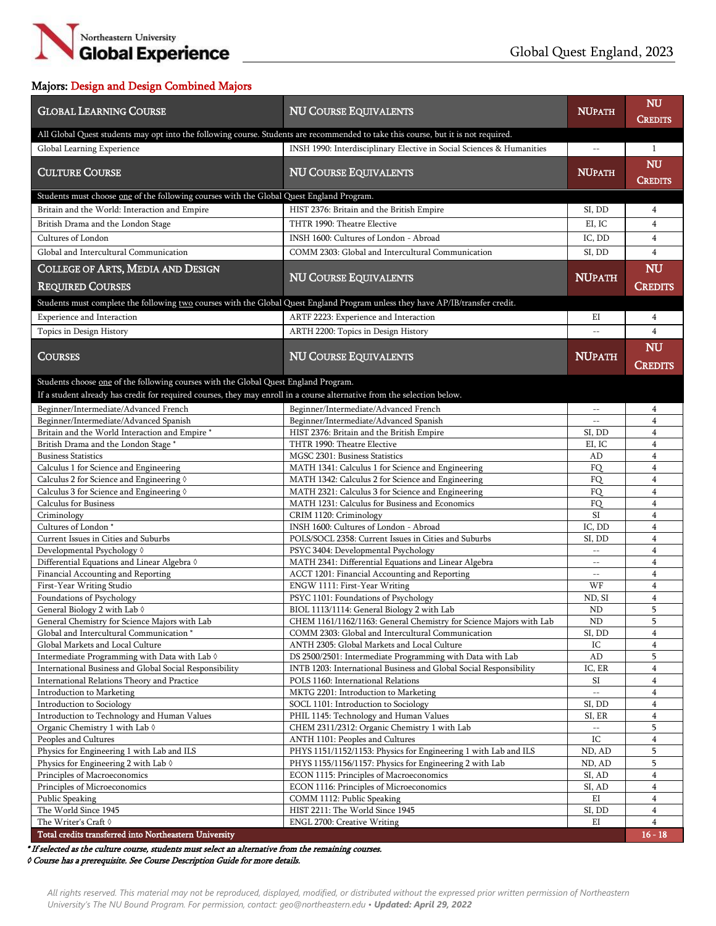

## Majors: Design and Design Combined Majors

| <b>GLOBAL LEARNING COURSE</b>                                                                                                                                                                                  | <b>NU COURSE EQUIVALENTS</b>                                                                                            | <b>NUPATH</b>               | <b>NU</b><br><b>CREDITS</b> |
|----------------------------------------------------------------------------------------------------------------------------------------------------------------------------------------------------------------|-------------------------------------------------------------------------------------------------------------------------|-----------------------------|-----------------------------|
| All Global Quest students may opt into the following course. Students are recommended to take this course, but it is not required.                                                                             |                                                                                                                         |                             |                             |
| Global Learning Experience                                                                                                                                                                                     | INSH 1990: Interdisciplinary Elective in Social Sciences & Humanities                                                   | $\overline{\phantom{m}}$    | $\mathbf{1}$                |
| <b>CULTURE COURSE</b>                                                                                                                                                                                          | <b>NU COURSE EQUIVALENTS</b>                                                                                            | <b>NUPATH</b>               | <b>NU</b><br><b>CREDITS</b> |
| Students must choose one of the following courses with the Global Quest England Program.                                                                                                                       |                                                                                                                         |                             |                             |
| Britain and the World: Interaction and Empire                                                                                                                                                                  | HIST 2376: Britain and the British Empire                                                                               | SI, DD                      | 4                           |
| British Drama and the London Stage                                                                                                                                                                             | THTR 1990: Theatre Elective                                                                                             | EI, IC                      | $\overline{4}$              |
| Cultures of London                                                                                                                                                                                             | INSH 1600: Cultures of London - Abroad                                                                                  | IC, DD                      | $\overline{4}$              |
| Global and Intercultural Communication                                                                                                                                                                         | COMM 2303: Global and Intercultural Communication                                                                       | SI, DD                      | $\overline{4}$              |
| <b>COLLEGE OF ARTS, MEDIA AND DESIGN</b>                                                                                                                                                                       |                                                                                                                         |                             | NU                          |
| <b>REQUIRED COURSES</b>                                                                                                                                                                                        | <b>NU COURSE EQUIVALENTS</b>                                                                                            | <b>NUPATH</b>               | <b>CREDITS</b>              |
| Students must complete the following two courses with the Global Quest England Program unless they have AP/IB/transfer credit.                                                                                 |                                                                                                                         |                             |                             |
| Experience and Interaction                                                                                                                                                                                     | ARTF 2223: Experience and Interaction                                                                                   | ΕI                          | 4                           |
| Topics in Design History                                                                                                                                                                                       | ARTH 2200: Topics in Design History                                                                                     | $\overline{\phantom{m}}$    | $\overline{4}$              |
|                                                                                                                                                                                                                |                                                                                                                         |                             | NU                          |
| <b>COURSES</b>                                                                                                                                                                                                 | <b>NU COURSE EQUIVALENTS</b>                                                                                            | <b>NUPATH</b>               | Credits                     |
| Students choose one of the following courses with the Global Quest England Program.<br>If a student already has credit for required courses, they may enroll in a course alternative from the selection below. |                                                                                                                         |                             |                             |
| Beginner/Intermediate/Advanced French                                                                                                                                                                          | Beginner/Intermediate/Advanced French                                                                                   | $\sim$ $-$                  | 4                           |
| Beginner/Intermediate/Advanced Spanish                                                                                                                                                                         | Beginner/Intermediate/Advanced Spanish                                                                                  | $\overline{\phantom{a}}$    | $\overline{4}$              |
| Britain and the World Interaction and Empire *                                                                                                                                                                 | HIST 2376: Britain and the British Empire                                                                               | SI, DD                      | $\overline{4}$              |
| British Drama and the London Stage *                                                                                                                                                                           | THTR 1990: Theatre Elective                                                                                             | EI, IC                      | 4                           |
| <b>Business Statistics</b>                                                                                                                                                                                     | MGSC 2301: Business Statistics                                                                                          | AD                          | $\overline{4}$              |
| Calculus 1 for Science and Engineering                                                                                                                                                                         | MATH 1341: Calculus 1 for Science and Engineering                                                                       | FQ                          | $\overline{4}$              |
| Calculus 2 for Science and Engineering 0                                                                                                                                                                       | MATH 1342: Calculus 2 for Science and Engineering                                                                       | FQ                          | $\overline{4}$              |
| Calculus 3 for Science and Engineering 0                                                                                                                                                                       | MATH 2321: Calculus 3 for Science and Engineering                                                                       | <b>FO</b>                   | $\overline{\mathbf{4}}$     |
| <b>Calculus for Business</b>                                                                                                                                                                                   | MATH 1231: Calculus for Business and Economics                                                                          | FQ<br>SI                    | 4<br>$\overline{4}$         |
| Criminology<br>Cultures of London*                                                                                                                                                                             | CRIM 1120: Criminology<br>INSH 1600: Cultures of London - Abroad                                                        | IC, DD                      | 4                           |
| Current Issues in Cities and Suburbs                                                                                                                                                                           | POLS/SOCL 2358: Current Issues in Cities and Suburbs                                                                    | SI, DD                      | 4                           |
| Developmental Psychology 0                                                                                                                                                                                     | PSYC 3404: Developmental Psychology                                                                                     | $\mathcal{L} = \mathcal{L}$ | $\overline{4}$              |
| Differential Equations and Linear Algebra 0                                                                                                                                                                    | MATH 2341: Differential Equations and Linear Algebra                                                                    | $\overline{\phantom{a}}$    | $\overline{4}$              |
| Financial Accounting and Reporting                                                                                                                                                                             | ACCT 1201: Financial Accounting and Reporting                                                                           | $- -$                       | $\overline{\mathbf{4}}$     |
| First-Year Writing Studio                                                                                                                                                                                      | ENGW 1111: First-Year Writing                                                                                           | WF                          | $\overline{4}$              |
| Foundations of Psychology                                                                                                                                                                                      | PSYC 1101: Foundations of Psychology                                                                                    | ND, SI                      | $\overline{4}$              |
| General Biology 2 with Lab $\Diamond$                                                                                                                                                                          | BIOL 1113/1114: General Biology 2 with Lab                                                                              | <b>ND</b>                   | 5<br>5                      |
| General Chemistry for Science Majors with Lab<br>Global and Intercultural Communication *                                                                                                                      | CHEM 1161/1162/1163: General Chemistry for Science Majors with Lab<br>COMM 2303: Global and Intercultural Communication | $\rm ND$<br>SI, DD          | 4                           |
| Global Markets and Local Culture                                                                                                                                                                               | ANTH 2305: Global Markets and Local Culture                                                                             | IC                          | $\overline{4}$              |
| Intermediate Programming with Data with Lab 0                                                                                                                                                                  | DS 2500/2501: Intermediate Programming with Data with Lab                                                               | $\mbox{\rm AD}$             | 5                           |
| International Business and Global Social Responsibility                                                                                                                                                        | INTB 1203: International Business and Global Social Responsibility                                                      | IC, ER                      | $\overline{4}$              |
| International Relations Theory and Practice                                                                                                                                                                    | POLS 1160: International Relations                                                                                      | SI                          | 4                           |
| Introduction to Marketing                                                                                                                                                                                      | MKTG 2201: Introduction to Marketing                                                                                    | цú.                         | $\overline{4}$              |
| Introduction to Sociology                                                                                                                                                                                      | SOCL 1101: Introduction to Sociology                                                                                    | SI, DD                      | 4                           |
| Introduction to Technology and Human Values                                                                                                                                                                    | PHIL 1145: Technology and Human Values                                                                                  | SI, ER                      | 4                           |
| Organic Chemistry 1 with Lab $\Diamond$<br>Peoples and Cultures                                                                                                                                                | CHEM 2311/2312: Organic Chemistry 1 with Lab<br>ANTH 1101: Peoples and Cultures                                         | IC                          | 5<br>$\overline{4}$         |
| Physics for Engineering 1 with Lab and ILS                                                                                                                                                                     | PHYS 1151/1152/1153: Physics for Engineering 1 with Lab and ILS                                                         | ND, AD                      | 5                           |
| Physics for Engineering 2 with Lab $\Diamond$                                                                                                                                                                  | PHYS 1155/1156/1157: Physics for Engineering 2 with Lab                                                                 | ND, AD                      | 5                           |
| Principles of Macroeconomics                                                                                                                                                                                   | ECON 1115: Principles of Macroeconomics                                                                                 | SI, AD                      | $\overline{4}$              |
| Principles of Microeconomics                                                                                                                                                                                   | ECON 1116: Principles of Microeconomics                                                                                 | SI, AD                      | 4                           |
| Public Speaking                                                                                                                                                                                                | COMM 1112: Public Speaking                                                                                              | EI                          | $\overline{4}$              |
| The World Since 1945                                                                                                                                                                                           | HIST 2211: The World Since 1945                                                                                         | SI, DD                      | $\overline{4}$              |
| The Writer's Craft $\Diamond$                                                                                                                                                                                  | ENGL 2700: Creative Writing                                                                                             | ΕI                          | $\overline{4}$              |
| Total credits transferred into Northeastern University                                                                                                                                                         |                                                                                                                         |                             | $16 - 18$                   |

\* If selected as the culture course, students must select an alternative from the remaining courses.

◊ Course has a prerequisite. See Course Description Guide for more details.

*All rights reserved. This material may not be reproduced, displayed, modified, or distributed without the expressed prior written permission of Northeastern University's The NU Bound Program. For permission, contact: geo@northeastern.edu • Updated: April 29, 2022*